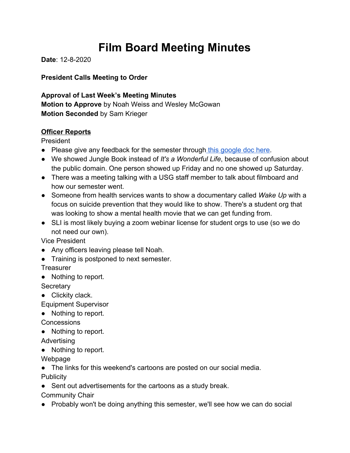# **Film Board Meeting Minutes**

**Date**: 12-8-2020

**President Calls Meeting to Order**

**Approval of Last Week's Meeting Minutes Motion to Approve** by Noah Weiss and Wesley McGowan **Motion Seconded** by Sam Krieger

#### **Officer Reports**

President

- Please give any feedback for the semester through [this google doc here](https://docs.google.com/forms/d/e/1FAIpQLSdCeywi6-Hzt1U1Z-SvIGgshlW3BZx11N1OjknE5mSfzZp1hA/viewform).
- We showed Jungle Book instead of *It's a Wonderful Life*, because of confusion about the public domain. One person showed up Friday and no one showed up Saturday.
- There was a meeting talking with a USG staff member to talk about filmboard and how our semester went.
- Someone from health services wants to show a documentary called *Wake Up* with a focus on suicide prevention that they would like to show. There's a student org that was looking to show a mental health movie that we can get funding from.
- SLI is most likely buying a zoom webinar license for student orgs to use (so we do not need our own).

Vice President

- Any officers leaving please tell Noah.
- Training is postponed to next semester.

**Treasurer** 

● Nothing to report.

**Secretary** 

• Clickity clack.

Equipment Supervisor

● Nothing to report.

**Concessions** 

● Nothing to report.

Advertising

● Nothing to report.

Webpage

● The links for this weekend's cartoons are posted on our social media.

**Publicity** 

• Sent out advertisements for the cartoons as a study break.

Community Chair

● Probably won't be doing anything this semester, we'll see how we can do social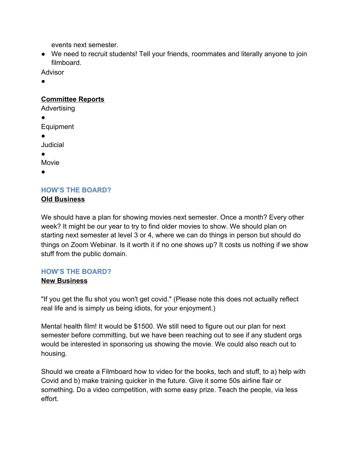events next semester.

● We need to recruit students! Tell your friends, roommates and literally anyone to join filmboard.

**Advisor** 

●

#### **Committee Reports**

Advertising

● Equipment

●

Judicial

●

Movie

●

### **HOW'S THE BOARD? Old Business**

We should have a plan for showing movies next semester. Once a month? Every other week? It might be our year to try to find older movies to show. We should plan on starting next semester at level 3 or 4, where we can do things in person but should do things on Zoom Webinar. Is it worth it if no one shows up? It costs us nothing if we show stuff from the public domain.

# **HOW'S THE BOARD?**

# **New Business**

"If you get the flu shot you won't get covid." (Please note this does not actually reflect real life and is simply us being idiots, for your enjoyment.)

Mental health film! It would be \$1500. We still need to figure out our plan for next semester before committing, but we have been reaching out to see if any student orgs would be interested in sponsoring us showing the movie. We could also reach out to housing.

Should we create a Filmboard how to video for the books, tech and stuff, to a) help with Covid and b) make training quicker in the future. Give it some 50s airline flair or something. Do a video competition, with some easy prize. Teach the people, via less effort.